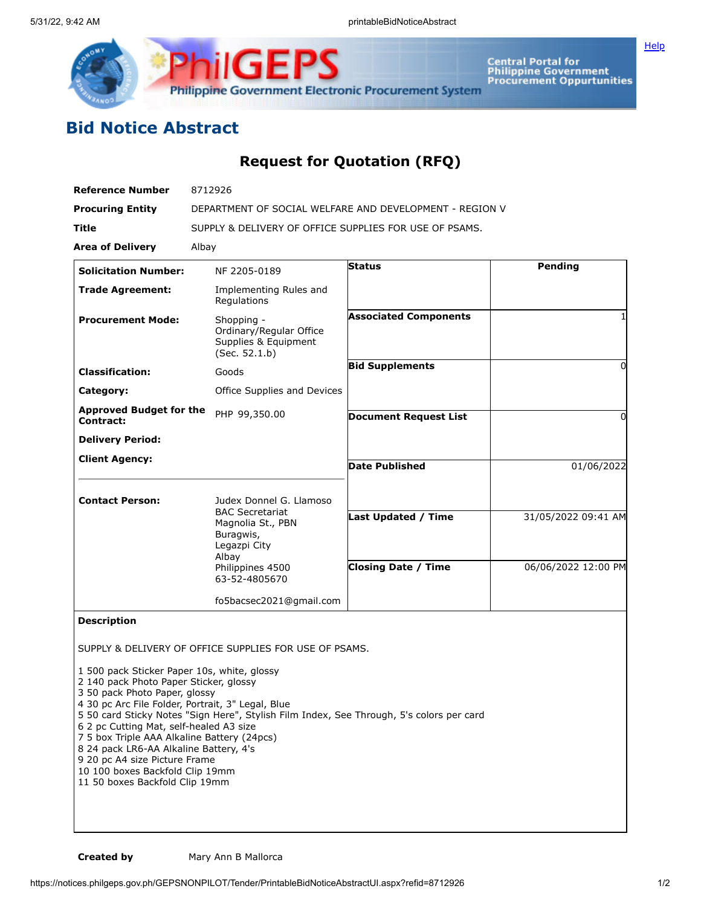



**Central Portal for<br>Philippine Government<br>Procurement Oppurtunities** 

## **Bid Notice Abstract**

## **Request for Quotation (RFQ)**

| <b>Reference Number</b>                                                                                                                                                                                                                                                                                                                                                                                               | 8712926                                                                                                                                                                      |                                                          |                                            |
|-----------------------------------------------------------------------------------------------------------------------------------------------------------------------------------------------------------------------------------------------------------------------------------------------------------------------------------------------------------------------------------------------------------------------|------------------------------------------------------------------------------------------------------------------------------------------------------------------------------|----------------------------------------------------------|--------------------------------------------|
| <b>Procuring Entity</b>                                                                                                                                                                                                                                                                                                                                                                                               | DEPARTMENT OF SOCIAL WELFARE AND DEVELOPMENT - REGION V                                                                                                                      |                                                          |                                            |
| Title                                                                                                                                                                                                                                                                                                                                                                                                                 | SUPPLY & DELIVERY OF OFFICE SUPPLIES FOR USE OF PSAMS.                                                                                                                       |                                                          |                                            |
| <b>Area of Delivery</b>                                                                                                                                                                                                                                                                                                                                                                                               | Albay                                                                                                                                                                        |                                                          |                                            |
| <b>Solicitation Number:</b>                                                                                                                                                                                                                                                                                                                                                                                           | NF 2205-0189                                                                                                                                                                 | <b>Status</b>                                            | Pending                                    |
| <b>Trade Agreement:</b>                                                                                                                                                                                                                                                                                                                                                                                               | Implementing Rules and<br>Regulations                                                                                                                                        |                                                          |                                            |
| <b>Procurement Mode:</b>                                                                                                                                                                                                                                                                                                                                                                                              | Shopping -<br>Ordinary/Regular Office<br>Supplies & Equipment<br>(Sec. 52.1.b)                                                                                               | <b>Associated Components</b>                             |                                            |
| <b>Classification:</b>                                                                                                                                                                                                                                                                                                                                                                                                | Goods                                                                                                                                                                        | <b>Bid Supplements</b>                                   | 0                                          |
| Category:                                                                                                                                                                                                                                                                                                                                                                                                             | Office Supplies and Devices                                                                                                                                                  |                                                          |                                            |
| <b>Approved Budget for the</b><br>Contract:                                                                                                                                                                                                                                                                                                                                                                           | PHP 99,350.00                                                                                                                                                                | <b>Document Request List</b>                             | 0                                          |
| <b>Delivery Period:</b>                                                                                                                                                                                                                                                                                                                                                                                               |                                                                                                                                                                              |                                                          |                                            |
| <b>Client Agency:</b>                                                                                                                                                                                                                                                                                                                                                                                                 |                                                                                                                                                                              | <b>Date Published</b>                                    | 01/06/2022                                 |
| <b>Contact Person:</b>                                                                                                                                                                                                                                                                                                                                                                                                | Judex Donnel G. Llamoso<br><b>BAC Secretariat</b><br>Magnolia St., PBN<br>Buragwis,<br>Legazpi City<br>Albay<br>Philippines 4500<br>63-52-4805670<br>fo5bacsec2021@gmail.com | <b>Last Updated / Time</b><br><b>Closing Date / Time</b> | 31/05/2022 09:41 AM<br>06/06/2022 12:00 PM |
| <b>Description</b>                                                                                                                                                                                                                                                                                                                                                                                                    |                                                                                                                                                                              |                                                          |                                            |
| 1 500 pack Sticker Paper 10s, white, glossy<br>2 140 pack Photo Paper Sticker, glossy<br>3 50 pack Photo Paper, glossy<br>4 30 pc Arc File Folder, Portrait, 3" Legal, Blue<br>6 2 pc Cutting Mat, self-healed A3 size<br>7 5 box Triple AAA Alkaline Battery (24pcs)<br>8 24 pack LR6-AA Alkaline Battery, 4's<br>9 20 pc A4 size Picture Frame<br>10 100 boxes Backfold Clip 19mm<br>11 50 boxes Backfold Clip 19mm | SUPPLY & DELIVERY OF OFFICE SUPPLIES FOR USE OF PSAMS.<br>5 50 card Sticky Notes "Sign Here", Stylish Film Index, See Through, 5's colors per card                           |                                                          |                                            |